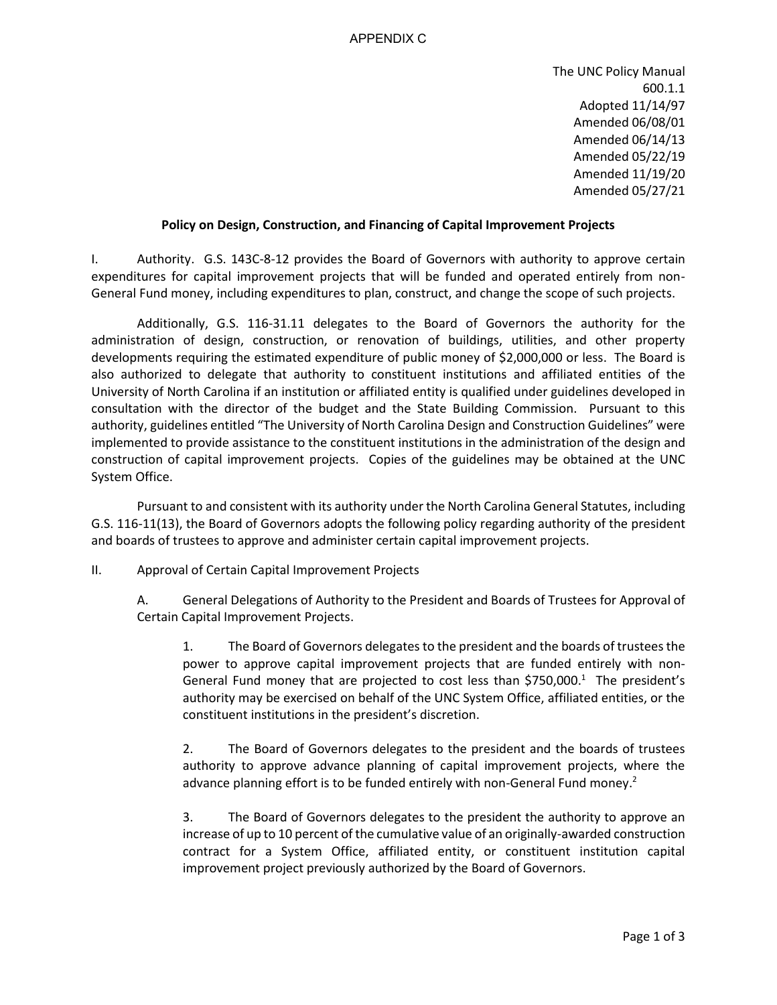## APPENDIX C

The UNC Policy Manual 600.1.1 Adopted 11/14/97 Amended 06/08/01 Amended 06/14/13 Amended 05/22/19 Amended 11/19/20 Amended 05/27/21

## **Policy on Design, Construction, and Financing of Capital Improvement Projects**

I. Authority. G.S. 143C-8-12 provides the Board of Governors with authority to approve certain expenditures for capital improvement projects that will be funded and operated entirely from non-General Fund money, including expenditures to plan, construct, and change the scope of such projects.

Additionally, G.S. 116-31.11 delegates to the Board of Governors the authority for the administration of design, construction, or renovation of buildings, utilities, and other property developments requiring the estimated expenditure of public money of \$2,000,000 or less. The Board is also authorized to delegate that authority to constituent institutions and affiliated entities of the University of North Carolina if an institution or affiliated entity is qualified under guidelines developed in consultation with the director of the budget and the State Building Commission. Pursuant to this authority, guidelines entitled "The University of North Carolina Design and Construction Guidelines" were implemented to provide assistance to the constituent institutions in the administration of the design and construction of capital improvement projects. Copies of the guidelines may be obtained at the UNC System Office.

Pursuant to and consistent with its authority under the North Carolina General Statutes, including G.S. 116-11(13), the Board of Governors adopts the following policy regarding authority of the president and boards of trustees to approve and administer certain capital improvement projects.

II. Approval of Certain Capital Improvement Projects

A. General Delegations of Authority to the President and Boards of Trustees for Approval of Certain Capital Improvement Projects.

1. The Board of Governors delegates to the president and the boards of trusteesthe power to approve capital improvement projects that are funded entirely with non-General Fund money that are projected to cost less than \$750,000.<sup>1</sup> The president's authority may be exercised on behalf of the UNC System Office, affiliated entities, or the constituent institutions in the president's discretion.

2. The Board of Governors delegates to the president and the boards of trustees authority to approve advance planning of capital improvement projects, where the advance planning effort is to be funded entirely with non-General Fund money.<sup>2</sup>

3. The Board of Governors delegates to the president the authority to approve an increase of up to 10 percent of the cumulative value of an originally-awarded construction contract for a System Office, affiliated entity, or constituent institution capital improvement project previously authorized by the Board of Governors.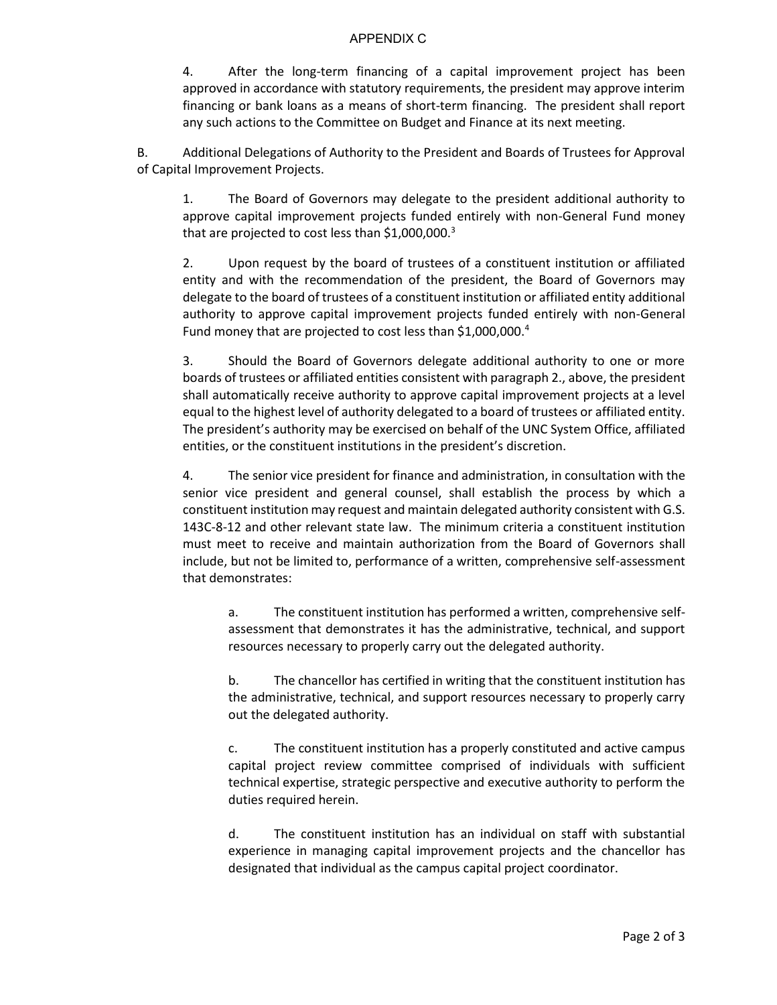## APPENDIX C

4. After the long-term financing of a capital improvement project has been approved in accordance with statutory requirements, the president may approve interim financing or bank loans as a means of short-term financing. The president shall report any such actions to the Committee on Budget and Finance at its next meeting.

B. Additional Delegations of Authority to the President and Boards of Trustees for Approval of Capital Improvement Projects.

1. The Board of Governors may delegate to the president additional authority to approve capital improvement projects funded entirely with non-General Fund money that are projected to cost less than  $$1,000,000.<sup>3</sup>$ 

2. Upon request by the board of trustees of a constituent institution or affiliated entity and with the recommendation of the president, the Board of Governors may delegate to the board of trustees of a constituent institution or affiliated entity additional authority to approve capital improvement projects funded entirely with non-General Fund money that are projected to cost less than \$1,000,000.<sup>4</sup>

3. Should the Board of Governors delegate additional authority to one or more boards of trustees or affiliated entities consistent with paragraph 2., above, the president shall automatically receive authority to approve capital improvement projects at a level equal to the highest level of authority delegated to a board of trustees or affiliated entity. The president's authority may be exercised on behalf of the UNC System Office, affiliated entities, or the constituent institutions in the president's discretion.

4. The senior vice president for finance and administration, in consultation with the senior vice president and general counsel, shall establish the process by which a constituent institution may request and maintain delegated authority consistent with G.S. 143C-8-12 and other relevant state law. The minimum criteria a constituent institution must meet to receive and maintain authorization from the Board of Governors shall include, but not be limited to, performance of a written, comprehensive self-assessment that demonstrates:

a. The constituent institution has performed a written, comprehensive selfassessment that demonstrates it has the administrative, technical, and support resources necessary to properly carry out the delegated authority.

b. The chancellor has certified in writing that the constituent institution has the administrative, technical, and support resources necessary to properly carry out the delegated authority.

c. The constituent institution has a properly constituted and active campus capital project review committee comprised of individuals with sufficient technical expertise, strategic perspective and executive authority to perform the duties required herein.

d. The constituent institution has an individual on staff with substantial experience in managing capital improvement projects and the chancellor has designated that individual as the campus capital project coordinator.